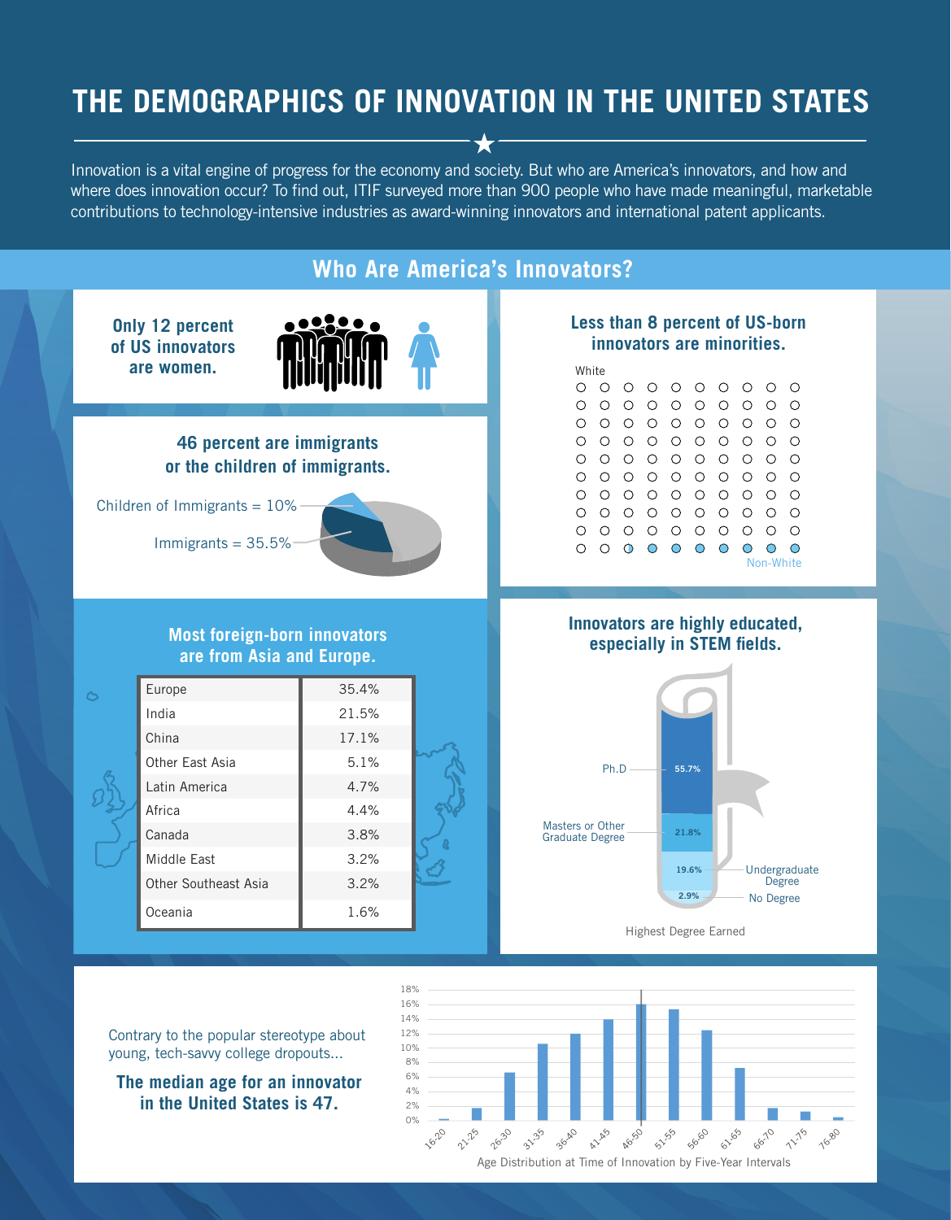## **THE DEMOGRAPHICS OF INNOVATION IN THE UNITED STATES**

Innovation is a vital engine of progress for the economy and society. But who are America's innovators, and how and where does innovation occur? To find out, ITIF surveyed more than 900 people who have made meaningful, marketable contributions to technology-intensive industries as award-winning innovators and international patent applicants.



0%  $2%$  $4%$ 

1620

21.25

2630

3135

3640

A1150

Age Distribution at Time of Innovation by Five-Year Intervals

**AG50** 

51155

50500

611.65

66-70

11-18

76.80

**The median age for an innovator in the United States is 47.**